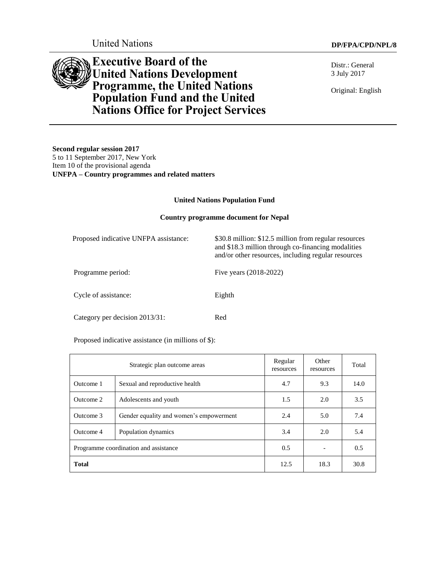United Nations **DP/FPA/CPD/NPL/8** 

Distr.: General 3 July 2017

Original: English

# **Executive Board of the United Nations Development Programme, the United Nations Population Fund and the United Nations Office for Project Services**

**Second regular session 2017** 5 to 11 September 2017, New York Item 10 of the provisional agenda **UNFPA – Country programmes and related matters**

#### **United Nations Population Fund**

#### **Country programme document for Nepal**

| Proposed indicative UNFPA assistance: | \$30.8 million: \$12.5 million from regular resources<br>and \$18.3 million through co-financing modalities<br>and/or other resources, including regular resources |
|---------------------------------------|--------------------------------------------------------------------------------------------------------------------------------------------------------------------|
| Programme period:                     | Five years (2018-2022)                                                                                                                                             |
| Cycle of assistance:                  | Eighth                                                                                                                                                             |
| Category per decision 2013/31:        | Red                                                                                                                                                                |

Proposed indicative assistance (in millions of \$):

| Strategic plan outcome areas          |                                         | Regular<br>resources | Other<br>resources | Total |
|---------------------------------------|-----------------------------------------|----------------------|--------------------|-------|
| Outcome 1                             | Sexual and reproductive health          | 4.7                  | 9.3                | 14.0  |
| Outcome 2                             | Adolescents and youth                   | 1.5                  | 2.0                | 3.5   |
| Outcome 3                             | Gender equality and women's empowerment | 2.4                  | 5.0                | 7.4   |
| Outcome 4                             | 3.4<br>2.0<br>Population dynamics       |                      | 5.4                |       |
| Programme coordination and assistance |                                         | 0.5                  |                    | 0.5   |
| <b>Total</b>                          |                                         | 12.5                 | 18.3               | 30.8  |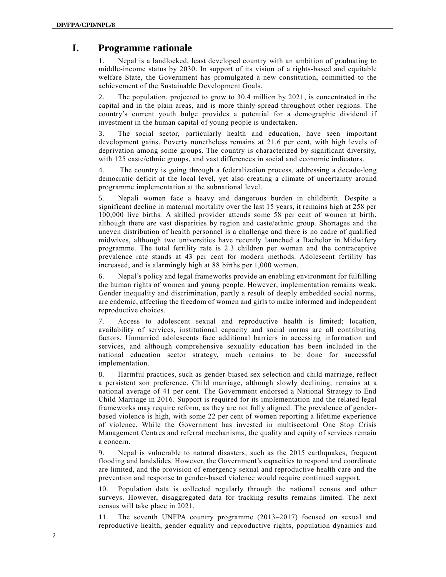# **I. Programme rationale**

1. Nepal is a landlocked, least developed country with an ambition of graduating to middle-income status by 2030. In support of its vision of a rights-based and equitable welfare State, the Government has promulgated a new constitution, committed to the achievement of the Sustainable Development Goals.

2. The population, projected to grow to 30.4 million by 2021, is concentrated in the capital and in the plain areas, and is more thinly spread throughout other regions. The country's current youth bulge provides a potential for a demographic dividend if investment in the human capital of young people is undertaken.

3. The social sector, particularly health and education, have seen important development gains. Poverty nonetheless remains at 21.6 per cent, with high levels of deprivation among some groups. The country is characterized by significant diversity, with 125 caste/ethnic groups, and vast differences in social and economic indicators.

4. The country is going through a federalization process, addressing a decade-long democratic deficit at the local level, yet also creating a climate of uncertainty around programme implementation at the subnational level.

5. Nepali women face a heavy and dangerous burden in childbirth. Despite a significant decline in maternal mortality over the last 15 years, it remains high at 258 per 100,000 live births*.* A skilled provider attends some 58 per cent of women at birth, although there are vast disparities by region and caste/ethnic group. Shortages and the uneven distribution of health personnel is a challenge and there is no cadre of qualified midwives, although two universities have recently launched a Bachelor in Midwifery programme. The total fertility rate is 2.3 children per woman and the contraceptive prevalence rate stands at 43 per cent for modern methods. Adolescent fertility has increased, and is alarmingly high at 88 births per 1,000 women.

6. Nepal's policy and legal frameworks provide an enabling environment for fulfilling the human rights of women and young people. However, implementation remains weak. Gender inequality and discrimination, partly a result of deeply embedded social norms, are endemic, affecting the freedom of women and girls to make informed and independent reproductive choices.

7. Access to adolescent sexual and reproductive health is limited; location, availability of services, institutional capacity and social norms are all contributing factors. Unmarried adolescents face additional barriers in accessing information and services, and although comprehensive sexuality education has been included in the national education sector strategy, much remains to be done for successful implementation.

8. Harmful practices, such as gender-biased sex selection and child marriage, reflect a persistent son preference. Child marriage, although slowly declining, remains at a national average of 41 per cent. The Government endorsed a National Strategy to End Child Marriage in 2016. Support is required for its implementation and the related legal frameworks may require reform, as they are not fully aligned. The prevalence of genderbased violence is high, with some 22 per cent of women reporting a lifetime experience of violence. While the Government has invested in multisectoral One Stop Crisis Management Centres and referral mechanisms, the quality and equity of services remain a concern.

9. Nepal is vulnerable to natural disasters, such as the 2015 earthquakes, frequent flooding and landslides. However, the Government's capacities to respond and coordinate are limited, and the provision of emergency sexual and reproductive health care and the prevention and response to gender-based violence would require continued support.

10. Population data is collected regularly through the national census and other surveys. However, disaggregated data for tracking results remains limited. The next census will take place in 2021.

The seventh UNFPA country programme  $(2013–2017)$  focused on sexual and reproductive health, gender equality and reproductive rights, population dynamics and

 $\mathcal{D}$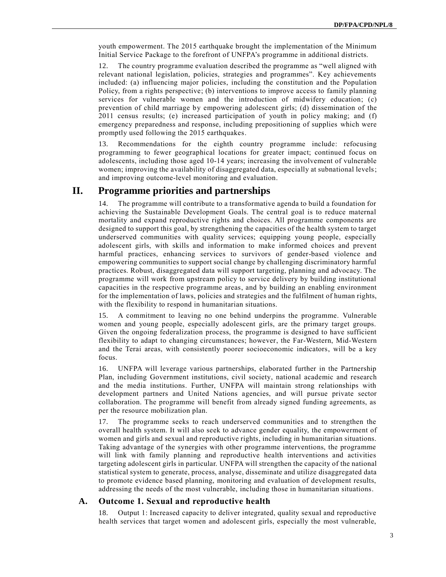youth empowerment. The 2015 earthquake brought the implementation of the Minimum Initial Service Package to the forefront of UNFPA's programme in additional districts.

12. The country programme evaluation described the programme as "well aligned with relevant national legislation, policies, strategies and programmes". Key achievements included: (a) influencing major policies, including the constitution and the Population Policy, from a rights perspective; (b) interventions to improve access to family planning services for vulnerable women and the introduction of midwifery education; (c) prevention of child marriage by empowering adolescent girls; (d) dissemination of the 2011 census results; (e) increased participation of youth in policy making; and (f) emergency preparedness and response, including prepositioning of supplies which were promptly used following the 2015 earthquakes.

13. Recommendations for the eighth country programme include: refocusing programming to fewer geographical locations for greater impact; continued focus on adolescents, including those aged 10-14 years; increasing the involvement of vulnerable women; improving the availability of disaggregated data, especially at subnational levels; and improving outcome-level monitoring and evaluation.

## **II. Programme priorities and partnerships**

14. The programme will contribute to a transformative agenda to build a foundation for achieving the Sustainable Development Goals. The central goal is to reduce maternal mortality and expand reproductive rights and choices. All programme components are designed to support this goal, by strengthening the capacities of the health system to target underserved communities with quality services; equipping young people, especially adolescent girls, with skills and information to make informed choices and prevent harmful practices, enhancing services to survivors of gender-based violence and empowering communities to support social change by challenging discriminatory harmful practices. Robust, disaggregated data will support targeting, planning and advocacy. The programme will work from upstream policy to service delivery by building institutional capacities in the respective programme areas, and by building an enabling environment for the implementation of laws, policies and strategies and the fulfilment of human rights, with the flexibility to respond in humanitarian situations.

15. A commitment to leaving no one behind underpins the programme. Vulnerable women and young people, especially adolescent girls, are the primary target groups. Given the ongoing federalization process, the programme is designed to have sufficient flexibility to adapt to changing circumstances; however, the Far-Western, Mid-Western and the Terai areas, with consistently poorer socioeconomic indicators, will be a key focus.

16. UNFPA will leverage various partnerships, elaborated further in the Partnership Plan, including Government institutions, civil society, national academic and research and the media institutions. Further, UNFPA will maintain strong relationships with development partners and United Nations agencies, and will pursue private sector collaboration. The programme will benefit from already signed funding agreements, as per the resource mobilization plan.

17. The programme seeks to reach underserved communities and to strengthen the overall health system. It will also seek to advance gender equality, the empowerment of women and girls and sexual and reproductive rights, including in humanitarian situations. Taking advantage of the synergies with other programme interventions, the programme will link with family planning and reproductive health interventions and activities targeting adolescent girls in particular. UNFPA will strengthen the capacity of the national statistical system to generate, process, analyse, disseminate and utilize disaggregated data to promote evidence based planning, monitoring and evaluation of development results, addressing the needs of the most vulnerable, including those in humanitarian situations.

#### **A. Outcome 1. Sexual and reproductive health**

18. Output 1: Increased capacity to deliver integrated, quality sexual and reproductive health services that target women and adolescent girls, especially the most vulnerable,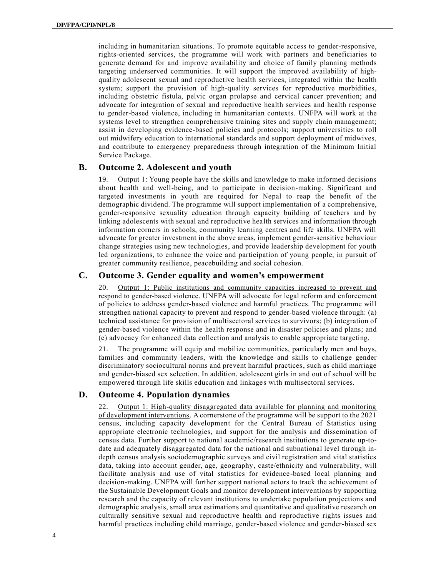including in humanitarian situations. To promote equitable access to gender-responsive, rights-oriented services, the programme will work with partners and beneficiaries to generate demand for and improve availability and choice of family planning methods targeting underserved communities. It will support the improved availability of highquality adolescent sexual and reproductive health services, integrated within the health system; support the provision of high-quality services for reproductive morbidities, including obstetric fistula, pelvic organ prolapse and cervical cancer prevention; and advocate for integration of sexual and reproductive health services and health response to gender-based violence, including in humanitarian contexts. UNFPA will work at the systems level to strengthen comprehensive training sites and supply chain management; assist in developing evidence-based policies and protocols; support universities to roll out midwifery education to international standards and support deployment of midwives, and contribute to emergency preparedness through integration of the Minimum Initial Service Package.

#### **B. Outcome 2. Adolescent and youth**

Output 1: Young people have the skills and knowledge to make informed decisions about health and well-being, and to participate in decision-making. Significant and targeted investments in youth are required for Nepal to reap the benefit of the demographic dividend. The programme will support implementation of a comprehensive, gender-responsive sexuality education through capacity building of teachers and by linking adolescents with sexual and reproductive health services and information through information corners in schools, community learning centres and life skills. UNFPA will advocate for greater investment in the above areas, implement gender-sensitive behaviour change strategies using new technologies, and provide leadership development for youth led organizations, to enhance the voice and participation of young people, in pursuit of greater community resilience, peacebuilding and social cohesion.

#### **C. Outcome 3. Gender equality and women's empowerment**

20. Output 1: Public institutions and community capacities increased to prevent and respond to gender-based violence. UNFPA will advocate for legal reform and enforcement of policies to address gender-based violence and harmful practices. The programme will strengthen national capacity to prevent and respond to gender-based violence through: (a) technical assistance for provision of multisectoral services to survivors; (b) integration of gender-based violence within the health response and in disaster policies and plans; and (c) advocacy for enhanced data collection and analysis to enable appropriate targeting.

21. The programme will equip and mobilize communities, particularly men and boys, families and community leaders, with the knowledge and skills to challenge gender discriminatory sociocultural norms and prevent harmful practices, such as child marriage and gender-biased sex selection. In addition, adolescent girls in and out of school will be empowered through life skills education and linkages with multisectoral services.

### **D. Outcome 4. Population dynamics**

22. Output 1: High-quality disaggregated data available for planning and monitoring of development interventions. A cornerstone of the programme will be support to the 2021 census, including capacity development for the Central Bureau of Statistics using appropriate electronic technologies, and support for the analysis and dissemination of census data. Further support to national academic/research institutions to generate up-todate and adequately disaggregated data for the national and subnational level through indepth census analysis sociodemographic surveys and civil registration and vital statistics data, taking into account gender, age, geography, caste/ethnicity and vulnerability, will facilitate analysis and use of vital statistics for evidence-based local planning and decision-making. UNFPA will further support national actors to track the achievement of the Sustainable Development Goals and monitor development interventions by supporting research and the capacity of relevant institutions to undertake population projections and demographic analysis, small area estimations and quantitative and qualitative research on culturally sensitive sexual and reproductive health and reproductive rights issues and harmful practices including child marriage, gender-based violence and gender-biased sex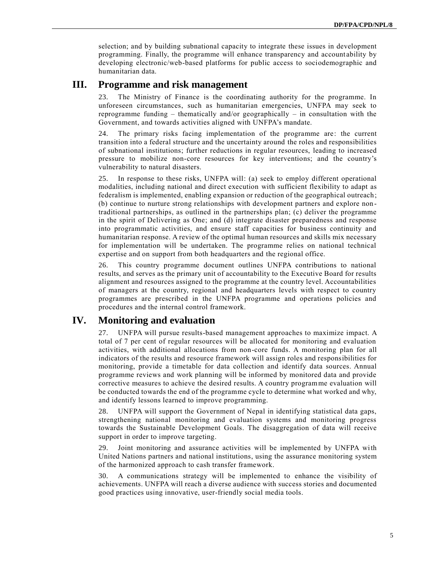selection; and by building subnational capacity to integrate these issues in development programming. Finally, the programme will enhance transparency and account ability by developing electronic/web-based platforms for public access to sociodemographic and humanitarian data.

# **III. Programme and risk management**

23. The Ministry of Finance is the coordinating authority for the programme. In unforeseen circumstances, such as humanitarian emergencies, UNFPA may seek to reprogramme funding – thematically and/or geographically – in consultation with the Government, and towards activities aligned with UNFPA's mandate.

24. The primary risks facing implementation of the programme are: the current transition into a federal structure and the uncertainty around the roles and responsibilities of subnational institutions; further reductions in regular resources, leading to increased pressure to mobilize non-core resources for key interventions; and the country's vulnerability to natural disasters.

25. In response to these risks, UNFPA will: (a) seek to employ different operational modalities, including national and direct execution with sufficient flexibility to adapt as federalism is implemented, enabling expansion or reduction of the geographical outreach; (b) continue to nurture strong relationships with development partners and explore non traditional partnerships, as outlined in the partnerships plan; (c) deliver the programme in the spirit of Delivering as One; and (d) integrate disaster preparedness and response into programmatic activities, and ensure staff capacities for business continuity and humanitarian response. A review of the optimal human resources and skills mix necessary for implementation will be undertaken. The programme relies on national technical expertise and on support from both headquarters and the regional office.

26. This country programme document outlines UNFPA contributions to national results, and serves as the primary unit of accountability to the Executive Board for results alignment and resources assigned to the programme at the country level. Accountabilities of managers at the country, regional and headquarters levels with respect to country programmes are prescribed in the UNFPA programme and operations policies and procedures and the internal control framework.

# **IV. Monitoring and evaluation**

27. UNFPA will pursue results-based management approaches to maximize impact. A total of 7 per cent of regular resources will be allocated for monitoring and evaluation activities, with additional allocations from non-core funds. A monitoring plan for all indicators of the results and resource framework will assign roles and responsibilities for monitoring, provide a timetable for data collection and identify data sources. Annual programme reviews and work planning will be informed by monitored data and provide corrective measures to achieve the desired results. A country programme evaluation will be conducted towards the end of the programme cycle to determine what worked and why, and identify lessons learned to improve programming.

28. UNFPA will support the Government of Nepal in identifying statistical data gaps, strengthening national monitoring and evaluation systems and monitoring progress towards the Sustainable Development Goals. The disaggregation of data will receive support in order to improve targeting.

29. Joint monitoring and assurance activities will be implemented by UNFPA with United Nations partners and national institutions, using the assurance monitoring system of the harmonized approach to cash transfer framework.

30. A communications strategy will be implemented to enhance the visibility of achievements. UNFPA will reach a diverse audience with success stories and documented good practices using innovative, user-friendly social media tools.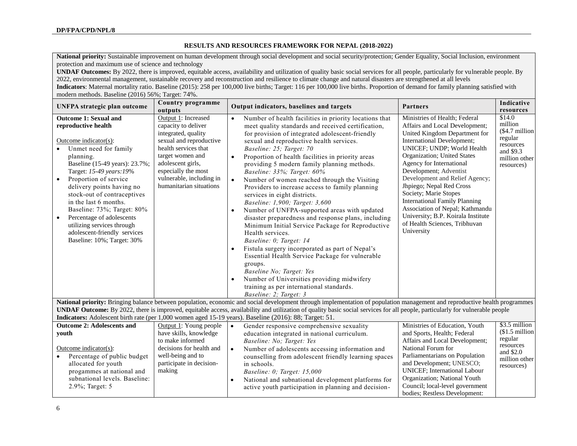#### **RESULTS AND RESOURCES FRAMEWORK FOR NEPAL (2018-2022)**

National priority: Sustainable improvement on human development through social development and social security/protection; Gender Equality, Social Inclusion, environment protection and maximum use of science and technology

**UNDAF Outcomes:** By 2022, there is improved, equitable access, availability and utilization of quality basic social services for all people, particularly for vulnerable people. By 2022, environmental management, sustainable recovery and reconstruction and resilience to climate change and natural disasters are strengthened at all levels

**Indicators**: Maternal mortality ratio. Baseline (2015): 258 per 100,000 live births; Target: 116 per 100,000 live births. Proportion of demand for family planning satisfied with modern methods. Baseline (2016) 56%; Target: 74%.

| <b>UNFPA</b> strategic plan outcome                                                                                                                                                                                                                                                                                                                                                                                                                                | Country programme                                                                                                                                                                                                                                                                                                                                           | Output indicators, baselines and targets                                                                                                                                                                                                                                                                                                                                                                                                                                                                                                                                                                                                                                                                                                                                                                                                                                                                                                                                                                                               | <b>Partners</b>                                                                                                                                                                                                                                                                                                                                                                                                                                                                                          | Indicative                                                                                                           |  |  |
|--------------------------------------------------------------------------------------------------------------------------------------------------------------------------------------------------------------------------------------------------------------------------------------------------------------------------------------------------------------------------------------------------------------------------------------------------------------------|-------------------------------------------------------------------------------------------------------------------------------------------------------------------------------------------------------------------------------------------------------------------------------------------------------------------------------------------------------------|----------------------------------------------------------------------------------------------------------------------------------------------------------------------------------------------------------------------------------------------------------------------------------------------------------------------------------------------------------------------------------------------------------------------------------------------------------------------------------------------------------------------------------------------------------------------------------------------------------------------------------------------------------------------------------------------------------------------------------------------------------------------------------------------------------------------------------------------------------------------------------------------------------------------------------------------------------------------------------------------------------------------------------------|----------------------------------------------------------------------------------------------------------------------------------------------------------------------------------------------------------------------------------------------------------------------------------------------------------------------------------------------------------------------------------------------------------------------------------------------------------------------------------------------------------|----------------------------------------------------------------------------------------------------------------------|--|--|
| <b>Outcome 1: Sexual and</b><br>reproductive health<br>Outcome indicator(s):<br>Unmet need for family<br>planning.<br>Baseline (15-49 years): 23.7%;<br>Target: 15-49 years: 19%<br>Proportion of service<br>$\bullet$<br>delivery points having no<br>stock-out of contraceptives<br>in the last 6 months.<br>Baseline: 73%; Target: 80%<br>Percentage of adolescents<br>utilizing services through<br>adolescent-friendly services<br>Baseline: 10%; Target: 30% | outputs<br>Output 1: Increased<br>capacity to deliver<br>integrated, quality<br>sexual and reproductive<br>health services that<br>target women and<br>adolescent girls,<br>especially the most<br>vulnerable, including in<br>humanitarian situations                                                                                                      | Number of health facilities in priority locations that<br>meet quality standards and received certification,<br>for provision of integrated adolescent-friendly<br>sexual and reproductive health services.<br>Baseline: 25; Target: 70<br>Proportion of health facilities in priority areas<br>$\bullet$<br>providing 5 modern family planning methods.<br>Baseline: 33%; Target: 60%<br>Number of women reached through the Visiting<br>Providers to increase access to family planning<br>services in eight districts.<br>Baseline: 1,900; Target: 3,600<br>Number of UNFPA-supported areas with updated<br>disaster preparedness and response plans, including<br>Minimum Initial Service Package for Reproductive<br>Health services.<br>Baseline: 0; Target: 14<br>Fistula surgery incorporated as part of Nepal's<br>Essential Health Service Package for vulnerable<br>groups.<br>Baseline No; Target: Yes<br>Number of Universities providing midwifery<br>training as per international standards.<br>Baseline: 2; Target: 3 | Ministries of Health; Federal<br>Affairs and Local Development;<br>United Kingdom Department for<br>International Development;<br>UNICEF; UNDP; World Health<br>Organization; United States<br>Agency for International<br>Development; Adventist<br>Development and Relief Agency;<br>Jhpiego; Nepal Red Cross<br>Society; Marie Stopes<br><b>International Family Planning</b><br>Association of Nepal; Kathmandu<br>University; B.P. Koirala Institute<br>of Health Sciences, Tribhuvan<br>University | resources<br>\$14.0<br>million<br>$$4.7$ million<br>regular<br>resources<br>and \$9.3<br>million other<br>resources) |  |  |
|                                                                                                                                                                                                                                                                                                                                                                                                                                                                    | National priority: Bringing balance between population, economic and social development through implementation of population management and reproductive health programmes<br>UNDAF Outcome: By 2022, there is improved, equitable access, availability and utilization of quality basic social services for all people, particularly for vulnerable people |                                                                                                                                                                                                                                                                                                                                                                                                                                                                                                                                                                                                                                                                                                                                                                                                                                                                                                                                                                                                                                        |                                                                                                                                                                                                                                                                                                                                                                                                                                                                                                          |                                                                                                                      |  |  |
|                                                                                                                                                                                                                                                                                                                                                                                                                                                                    |                                                                                                                                                                                                                                                                                                                                                             | Indicators: Adolescent birth rate (per 1,000 women aged 15-19 years). Baseline (2016): 88; Target: 51.                                                                                                                                                                                                                                                                                                                                                                                                                                                                                                                                                                                                                                                                                                                                                                                                                                                                                                                                 |                                                                                                                                                                                                                                                                                                                                                                                                                                                                                                          |                                                                                                                      |  |  |
| <b>Outcome 2: Adolescents and</b><br>vouth<br>Outcome indicator(s):<br>Percentage of public budget<br>allocated for youth<br>progammes at national and<br>subnational levels. Baseline:<br>2.9%; Target: 5                                                                                                                                                                                                                                                         | Output 1: Young people<br>have skills, knowledge<br>to make informed<br>decisions for health and<br>well-being and to<br>participate in decision-<br>making                                                                                                                                                                                                 | Gender responsive comprehensive sexuality<br>$\bullet$<br>education integrated in national curriculum.<br>Baseline: No; Target: Yes<br>Number of adolescents accessing information and<br>$\bullet$<br>counselling from adolescent friendly learning spaces<br>in schools.<br>Baseline: 0; Target: 15,000<br>National and subnational development platforms for<br>$\bullet$<br>active youth participation in planning and decision-                                                                                                                                                                                                                                                                                                                                                                                                                                                                                                                                                                                                   | Ministries of Education, Youth<br>and Sports, Health; Federal<br>Affairs and Local Development;<br>National Forum for<br>Parliamentarians on Population<br>and Development; UNESCO;<br><b>UNICEF</b> ; International Labour<br>Organization; National Youth<br>Council; local-level government<br>bodies; Restless Development:                                                                                                                                                                          | $$3.5$ million<br>$$1.5$ million<br>regular<br>resources<br>and \$2.0<br>million other<br>resources)                 |  |  |